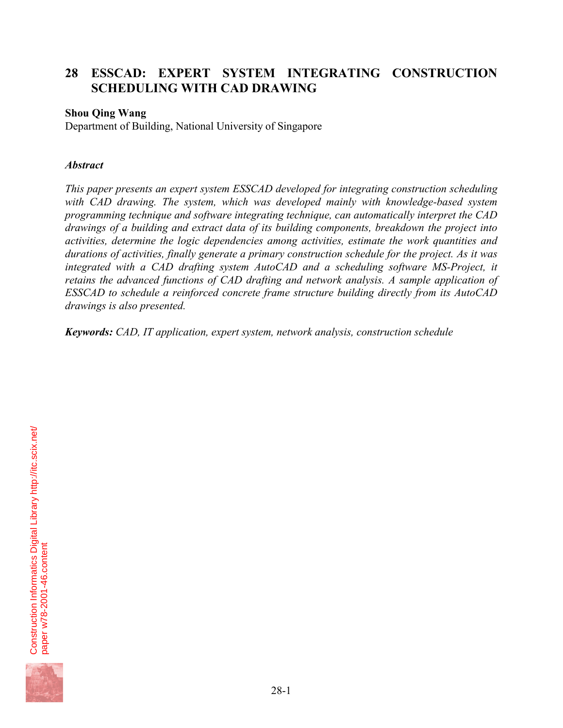# **28 ESSCAD: EXPERT SYSTEM INTEGRATING CONSTRUCTION SCHEDULING WITH CAD DRAWING**

## **Shou Qing Wang**

Department of Building, National University of Singapore

#### *Abstract*

*This paper presents an expert system ESSCAD developed for integrating construction scheduling with CAD drawing. The system, which was developed mainly with knowledge-based system programming technique and software integrating technique, can automatically interpret the CAD drawings of a building and extract data of its building components, breakdown the project into activities, determine the logic dependencies among activities, estimate the work quantities and durations of activities, finally generate a primary construction schedule for the project. As it was integrated with a CAD drafting system AutoCAD and a scheduling software MS-Project, it retains the advanced functions of CAD drafting and network analysis. A sample application of ESSCAD to schedule a reinforced concrete frame structure building directly from its AutoCAD drawings is also presented.* 

*Keywords: CAD, IT application, expert system, network analysis, construction schedule* 

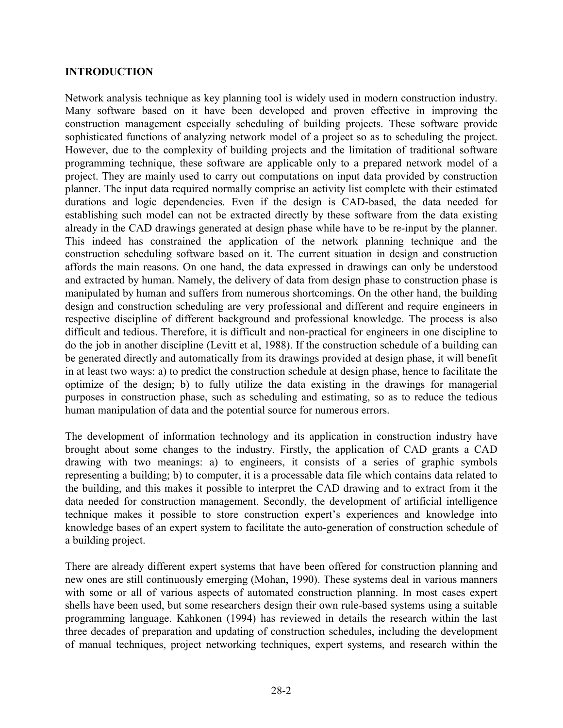#### **INTRODUCTION**

Network analysis technique as key planning tool is widely used in modern construction industry. Many software based on it have been developed and proven effective in improving the construction management especially scheduling of building projects. These software provide sophisticated functions of analyzing network model of a project so as to scheduling the project. However, due to the complexity of building projects and the limitation of traditional software programming technique, these software are applicable only to a prepared network model of a project. They are mainly used to carry out computations on input data provided by construction planner. The input data required normally comprise an activity list complete with their estimated durations and logic dependencies. Even if the design is CAD-based, the data needed for establishing such model can not be extracted directly by these software from the data existing already in the CAD drawings generated at design phase while have to be re-input by the planner. This indeed has constrained the application of the network planning technique and the construction scheduling software based on it. The current situation in design and construction affords the main reasons. On one hand, the data expressed in drawings can only be understood and extracted by human. Namely, the delivery of data from design phase to construction phase is manipulated by human and suffers from numerous shortcomings. On the other hand, the building design and construction scheduling are very professional and different and require engineers in respective discipline of different background and professional knowledge. The process is also difficult and tedious. Therefore, it is difficult and non-practical for engineers in one discipline to do the job in another discipline (Levitt et al, 1988). If the construction schedule of a building can be generated directly and automatically from its drawings provided at design phase, it will benefit in at least two ways: a) to predict the construction schedule at design phase, hence to facilitate the optimize of the design; b) to fully utilize the data existing in the drawings for managerial purposes in construction phase, such as scheduling and estimating, so as to reduce the tedious human manipulation of data and the potential source for numerous errors.

The development of information technology and its application in construction industry have brought about some changes to the industry. Firstly, the application of CAD grants a CAD drawing with two meanings: a) to engineers, it consists of a series of graphic symbols representing a building; b) to computer, it is a processable data file which contains data related to the building, and this makes it possible to interpret the CAD drawing and to extract from it the data needed for construction management. Secondly, the development of artificial intelligence technique makes it possible to store construction expert's experiences and knowledge into knowledge bases of an expert system to facilitate the auto-generation of construction schedule of a building project.

There are already different expert systems that have been offered for construction planning and new ones are still continuously emerging (Mohan, 1990). These systems deal in various manners with some or all of various aspects of automated construction planning. In most cases expert shells have been used, but some researchers design their own rule-based systems using a suitable programming language. Kahkonen (1994) has reviewed in details the research within the last three decades of preparation and updating of construction schedules, including the development of manual techniques, project networking techniques, expert systems, and research within the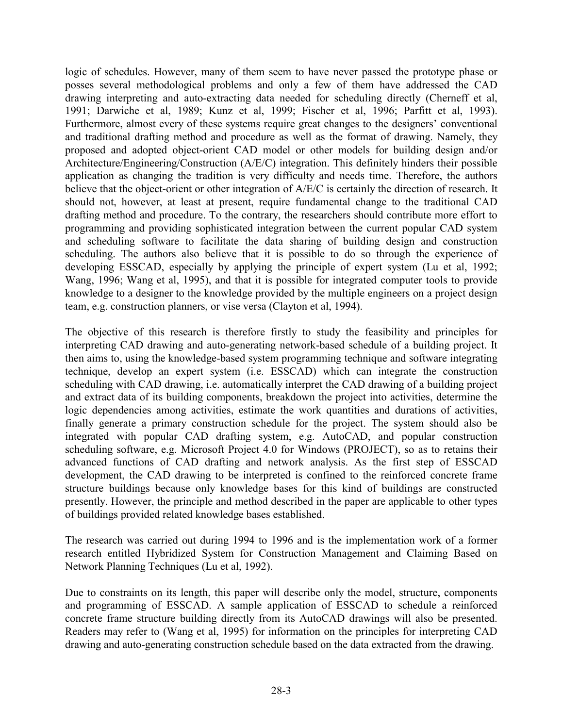logic of schedules. However, many of them seem to have never passed the prototype phase or posses several methodological problems and only a few of them have addressed the CAD drawing interpreting and auto-extracting data needed for scheduling directly (Cherneff et al, 1991; Darwiche et al, 1989; Kunz et al, 1999; Fischer et al, 1996; Parfitt et al, 1993). Furthermore, almost every of these systems require great changes to the designers' conventional and traditional drafting method and procedure as well as the format of drawing. Namely, they proposed and adopted object-orient CAD model or other models for building design and/or Architecture/Engineering/Construction (A/E/C) integration. This definitely hinders their possible application as changing the tradition is very difficulty and needs time. Therefore, the authors believe that the object-orient or other integration of A/E/C is certainly the direction of research. It should not, however, at least at present, require fundamental change to the traditional CAD drafting method and procedure. To the contrary, the researchers should contribute more effort to programming and providing sophisticated integration between the current popular CAD system and scheduling software to facilitate the data sharing of building design and construction scheduling. The authors also believe that it is possible to do so through the experience of developing ESSCAD, especially by applying the principle of expert system (Lu et al, 1992; Wang, 1996; Wang et al, 1995), and that it is possible for integrated computer tools to provide knowledge to a designer to the knowledge provided by the multiple engineers on a project design team, e.g. construction planners, or vise versa (Clayton et al, 1994).

The objective of this research is therefore firstly to study the feasibility and principles for interpreting CAD drawing and auto-generating network-based schedule of a building project. It then aims to, using the knowledge-based system programming technique and software integrating technique, develop an expert system (i.e. ESSCAD) which can integrate the construction scheduling with CAD drawing, i.e. automatically interpret the CAD drawing of a building project and extract data of its building components, breakdown the project into activities, determine the logic dependencies among activities, estimate the work quantities and durations of activities, finally generate a primary construction schedule for the project. The system should also be integrated with popular CAD drafting system, e.g. AutoCAD, and popular construction scheduling software, e.g. Microsoft Project 4.0 for Windows (PROJECT), so as to retains their advanced functions of CAD drafting and network analysis. As the first step of ESSCAD development, the CAD drawing to be interpreted is confined to the reinforced concrete frame structure buildings because only knowledge bases for this kind of buildings are constructed presently. However, the principle and method described in the paper are applicable to other types of buildings provided related knowledge bases established.

The research was carried out during 1994 to 1996 and is the implementation work of a former research entitled Hybridized System for Construction Management and Claiming Based on Network Planning Techniques (Lu et al, 1992).

Due to constraints on its length, this paper will describe only the model, structure, components and programming of ESSCAD. A sample application of ESSCAD to schedule a reinforced concrete frame structure building directly from its AutoCAD drawings will also be presented. Readers may refer to (Wang et al, 1995) for information on the principles for interpreting CAD drawing and auto-generating construction schedule based on the data extracted from the drawing.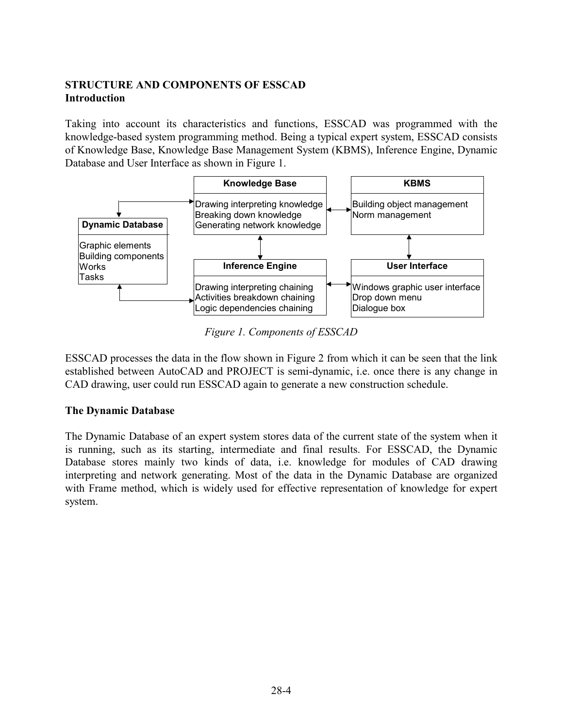## **STRUCTURE AND COMPONENTS OF ESSCAD Introduction**

Taking into account its characteristics and functions, ESSCAD was programmed with the knowledge-based system programming method. Being a typical expert system, ESSCAD consists of Knowledge Base, Knowledge Base Management System (KBMS), Inference Engine, Dynamic Database and User Interface as shown in Figure 1.



*Figure 1. Components of ESSCAD* 

ESSCAD processes the data in the flow shown in Figure 2 from which it can be seen that the link established between AutoCAD and PROJECT is semi-dynamic, i.e. once there is any change in CAD drawing, user could run ESSCAD again to generate a new construction schedule.

# **The Dynamic Database**

The Dynamic Database of an expert system stores data of the current state of the system when it is running, such as its starting, intermediate and final results. For ESSCAD, the Dynamic Database stores mainly two kinds of data, i.e. knowledge for modules of CAD drawing interpreting and network generating. Most of the data in the Dynamic Database are organized with Frame method, which is widely used for effective representation of knowledge for expert system.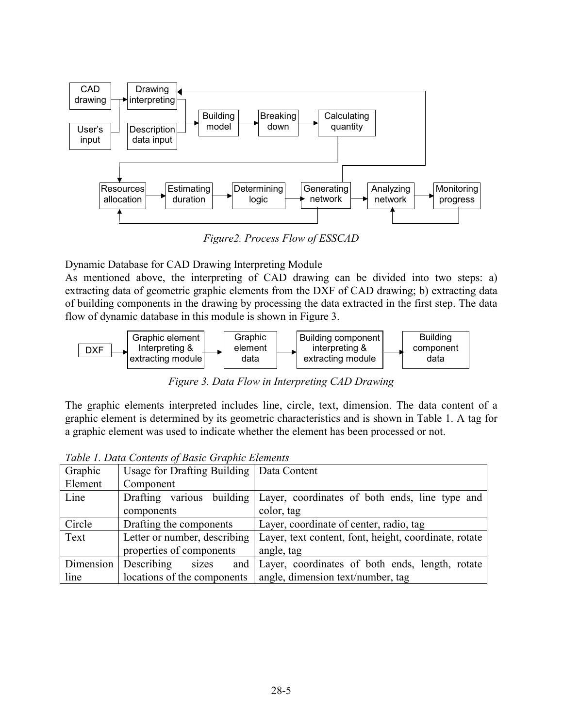

*Figure2. Process Flow of ESSCAD* 

Dynamic Database for CAD Drawing Interpreting Module

As mentioned above, the interpreting of CAD drawing can be divided into two steps: a) extracting data of geometric graphic elements from the DXF of CAD drawing; b) extracting data of building components in the drawing by processing the data extracted in the first step. The data flow of dynamic database in this module is shown in Figure 3.



*Figure 3. Data Flow in Interpreting CAD Drawing* 

The graphic elements interpreted includes line, circle, text, dimension. The data content of a graphic element is determined by its geometric characteristics and is shown in Table 1. A tag for a graphic element was used to indicate whether the element has been processed or not.

| Graphic   | Usage for Drafting Building   Data Content |                                                       |  |
|-----------|--------------------------------------------|-------------------------------------------------------|--|
| Element   | Component                                  |                                                       |  |
| Line      | various building<br>Drafting               | Layer, coordinates of both ends, line type and        |  |
|           | components                                 | color, tag                                            |  |
| Circle    | Drafting the components                    | Layer, coordinate of center, radio, tag               |  |
| Text      | Letter or number, describing               | Layer, text content, font, height, coordinate, rotate |  |
|           | properties of components                   | angle, tag                                            |  |
| Dimension | Describing<br>sizes<br>and                 | Layer, coordinates of both ends, length, rotate       |  |
| line      | locations of the components                | angle, dimension text/number, tag                     |  |

*Table 1. Data Contents of Basic Graphic Elements*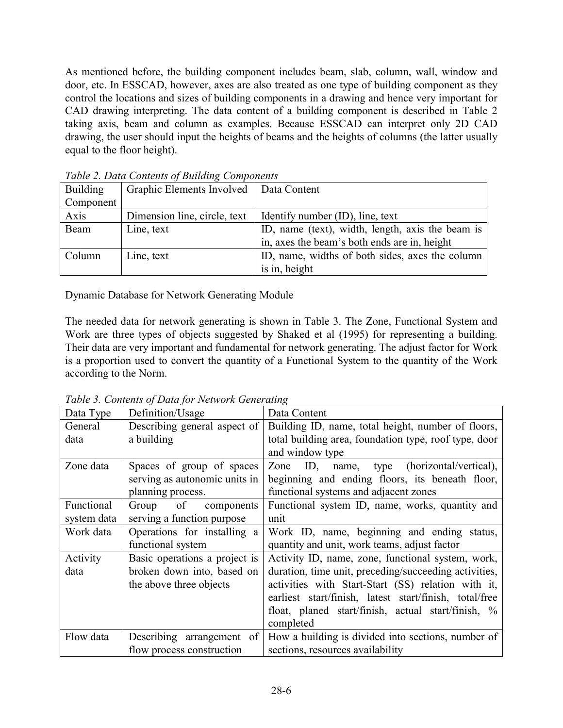As mentioned before, the building component includes beam, slab, column, wall, window and door, etc. In ESSCAD, however, axes are also treated as one type of building component as they control the locations and sizes of building components in a drawing and hence very important for CAD drawing interpreting. The data content of a building component is described in Table 2 taking axis, beam and column as examples. Because ESSCAD can interpret only 2D CAD drawing, the user should input the heights of beams and the heights of columns (the latter usually equal to the floor height).

| <b>Building</b> | Graphic Elements Involved    | Data Content                                     |  |
|-----------------|------------------------------|--------------------------------------------------|--|
| Component       |                              |                                                  |  |
| Axis            | Dimension line, circle, text | Identify number (ID), line, text                 |  |
| Beam            | Line, text                   | ID, name (text), width, length, axis the beam is |  |
|                 |                              | in, axes the beam's both ends are in, height     |  |
| Column          | Line, text                   | ID, name, widths of both sides, axes the column  |  |
|                 |                              | is in, height                                    |  |

*Table 2. Data Contents of Building Components* 

Dynamic Database for Network Generating Module

The needed data for network generating is shown in Table 3. The Zone, Functional System and Work are three types of objects suggested by Shaked et al (1995) for representing a building. Their data are very important and fundamental for network generating. The adjust factor for Work is a proportion used to convert the quantity of a Functional System to the quantity of the Work according to the Norm.

| Data Type   | Definition/Usage              | Data Content                                           |  |  |
|-------------|-------------------------------|--------------------------------------------------------|--|--|
| General     | Describing general aspect of  | Building ID, name, total height, number of floors,     |  |  |
| data        | a building                    | total building area, foundation type, roof type, door  |  |  |
|             |                               | and window type                                        |  |  |
| Zone data   | Spaces of group of spaces     | name, type (horizontal/vertical),<br>Zone<br>ID,       |  |  |
|             | serving as autonomic units in | beginning and ending floors, its beneath floor,        |  |  |
|             | planning process.             | functional systems and adjacent zones                  |  |  |
| Functional  | of<br>Group<br>components     | Functional system ID, name, works, quantity and        |  |  |
| system data | serving a function purpose    | unit                                                   |  |  |
| Work data   | Operations for installing a   | Work ID, name, beginning and ending status,            |  |  |
|             | functional system             | quantity and unit, work teams, adjust factor           |  |  |
| Activity    | Basic operations a project is | Activity ID, name, zone, functional system, work,      |  |  |
| data        | broken down into, based on    | duration, time unit, preceding/succeeding activities,  |  |  |
|             | the above three objects       | activities with Start-Start (SS) relation with it,     |  |  |
|             |                               | earliest start/finish, latest start/finish, total/free |  |  |
|             |                               | float, planed start/finish, actual start/finish, %     |  |  |
|             |                               | completed                                              |  |  |
| Flow data   | Describing arrangement of     | How a building is divided into sections, number of     |  |  |
|             | flow process construction     | sections, resources availability                       |  |  |

*Table 3. Contents of Data for Network Generating*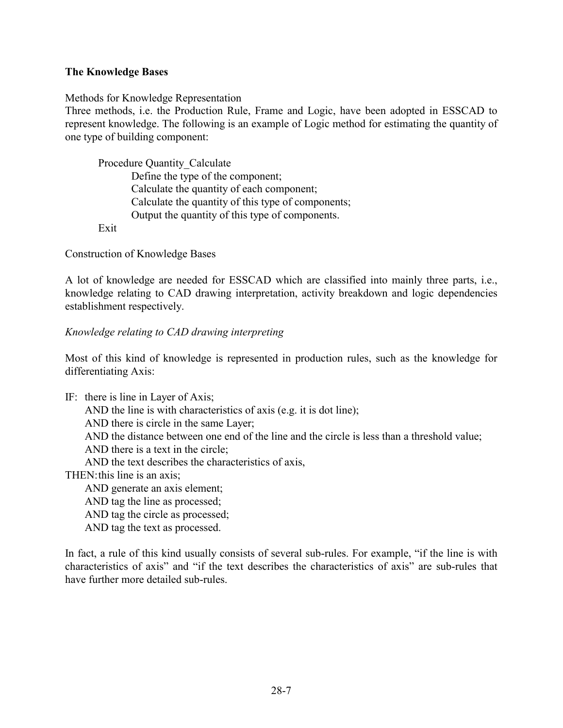#### **The Knowledge Bases**

Methods for Knowledge Representation

Three methods, i.e. the Production Rule, Frame and Logic, have been adopted in ESSCAD to represent knowledge. The following is an example of Logic method for estimating the quantity of one type of building component:

 Procedure Quantity\_Calculate Define the type of the component; Calculate the quantity of each component; Calculate the quantity of this type of components; Output the quantity of this type of components. Exit

Construction of Knowledge Bases

A lot of knowledge are needed for ESSCAD which are classified into mainly three parts, i.e., knowledge relating to CAD drawing interpretation, activity breakdown and logic dependencies establishment respectively.

#### *Knowledge relating to CAD drawing interpreting*

Most of this kind of knowledge is represented in production rules, such as the knowledge for differentiating Axis:

IF: there is line in Layer of Axis;

AND the line is with characteristics of axis (e.g. it is dot line);

AND there is circle in the same Layer;

AND the distance between one end of the line and the circle is less than a threshold value;

AND there is a text in the circle;

AND the text describes the characteristics of axis,

THEN: this line is an axis;

AND generate an axis element;

AND tag the line as processed;

AND tag the circle as processed;

AND tag the text as processed.

In fact, a rule of this kind usually consists of several sub-rules. For example, "if the line is with characteristics of axis" and "if the text describes the characteristics of axis" are sub-rules that have further more detailed sub-rules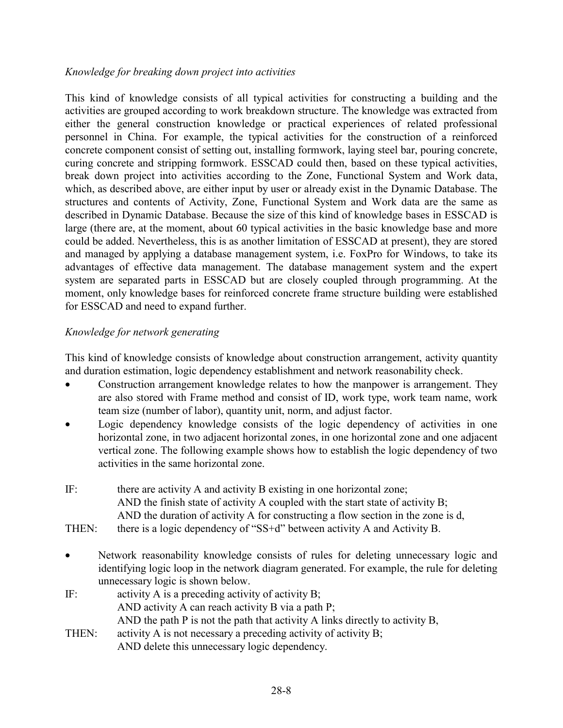#### *Knowledge for breaking down project into activities*

This kind of knowledge consists of all typical activities for constructing a building and the activities are grouped according to work breakdown structure. The knowledge was extracted from either the general construction knowledge or practical experiences of related professional personnel in China. For example, the typical activities for the construction of a reinforced concrete component consist of setting out, installing formwork, laying steel bar, pouring concrete, curing concrete and stripping formwork. ESSCAD could then, based on these typical activities, break down project into activities according to the Zone, Functional System and Work data, which, as described above, are either input by user or already exist in the Dynamic Database. The structures and contents of Activity, Zone, Functional System and Work data are the same as described in Dynamic Database. Because the size of this kind of knowledge bases in ESSCAD is large (there are, at the moment, about 60 typical activities in the basic knowledge base and more could be added. Nevertheless, this is as another limitation of ESSCAD at present), they are stored and managed by applying a database management system, i.e. FoxPro for Windows, to take its advantages of effective data management. The database management system and the expert system are separated parts in ESSCAD but are closely coupled through programming. At the moment, only knowledge bases for reinforced concrete frame structure building were established for ESSCAD and need to expand further.

## *Knowledge for network generating*

This kind of knowledge consists of knowledge about construction arrangement, activity quantity and duration estimation, logic dependency establishment and network reasonability check.

- Construction arrangement knowledge relates to how the manpower is arrangement. They are also stored with Frame method and consist of ID, work type, work team name, work team size (number of labor), quantity unit, norm, and adjust factor.
- Logic dependency knowledge consists of the logic dependency of activities in one horizontal zone, in two adjacent horizontal zones, in one horizontal zone and one adjacent vertical zone. The following example shows how to establish the logic dependency of two activities in the same horizontal zone.
- IF: there are activity A and activity B existing in one horizontal zone; AND the finish state of activity A coupled with the start state of activity B; AND the duration of activity A for constructing a flow section in the zone is d,
- THEN: there is a logic dependency of "SS+d" between activity A and Activity B.
- Network reasonability knowledge consists of rules for deleting unnecessary logic and identifying logic loop in the network diagram generated. For example, the rule for deleting unnecessary logic is shown below.
- IF: activity A is a preceding activity of activity B; AND activity A can reach activity B via a path P; AND the path P is not the path that activity A links directly to activity B, THEN: activity A is not necessary a preceding activity of activity B;
	- AND delete this unnecessary logic dependency.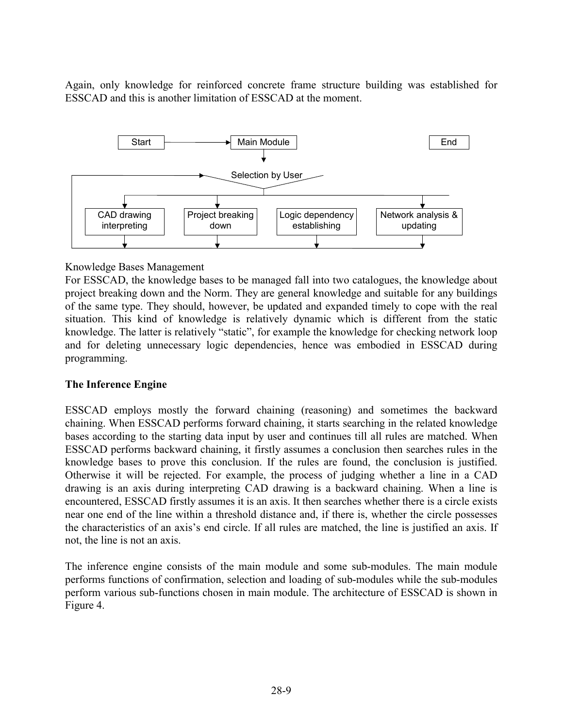Again, only knowledge for reinforced concrete frame structure building was established for ESSCAD and this is another limitation of ESSCAD at the moment.



#### Knowledge Bases Management

For ESSCAD, the knowledge bases to be managed fall into two catalogues, the knowledge about project breaking down and the Norm. They are general knowledge and suitable for any buildings of the same type. They should, however, be updated and expanded timely to cope with the real situation. This kind of knowledge is relatively dynamic which is different from the static knowledge. The latter is relatively "static", for example the knowledge for checking network loop and for deleting unnecessary logic dependencies, hence was embodied in ESSCAD during programming.

## **The Inference Engine**

ESSCAD employs mostly the forward chaining (reasoning) and sometimes the backward chaining. When ESSCAD performs forward chaining, it starts searching in the related knowledge bases according to the starting data input by user and continues till all rules are matched. When ESSCAD performs backward chaining, it firstly assumes a conclusion then searches rules in the knowledge bases to prove this conclusion. If the rules are found, the conclusion is justified. Otherwise it will be rejected. For example, the process of judging whether a line in a CAD drawing is an axis during interpreting CAD drawing is a backward chaining. When a line is encountered, ESSCAD firstly assumes it is an axis. It then searches whether there is a circle exists near one end of the line within a threshold distance and, if there is, whether the circle possesses the characteristics of an axis's end circle. If all rules are matched, the line is justified an axis. If not, the line is not an axis.

The inference engine consists of the main module and some sub-modules. The main module performs functions of confirmation, selection and loading of sub-modules while the sub-modules perform various sub-functions chosen in main module. The architecture of ESSCAD is shown in Figure 4.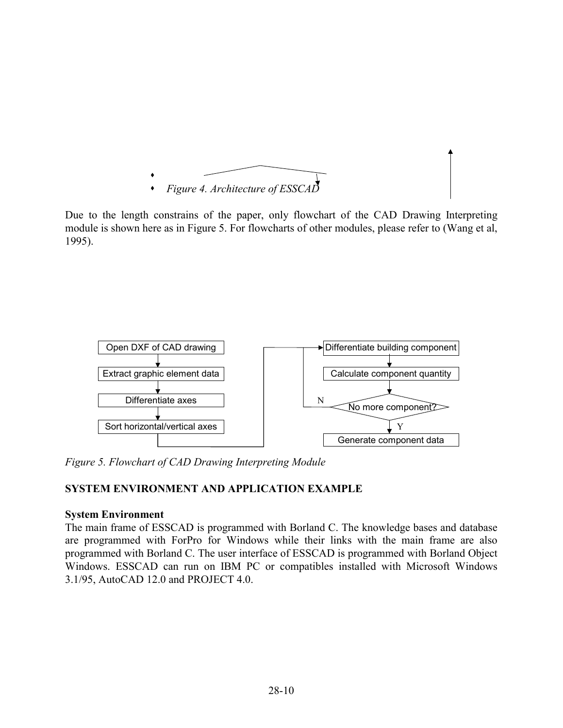

Due to the length constrains of the paper, only flowchart of the CAD Drawing Interpreting module is shown here as in Figure 5. For flowcharts of other modules, please refer to (Wang et al, 1995).



*Figure 5. Flowchart of CAD Drawing Interpreting Module* 

# **SYSTEM ENVIRONMENT AND APPLICATION EXAMPLE**

## **System Environment**

The main frame of ESSCAD is programmed with Borland C. The knowledge bases and database are programmed with ForPro for Windows while their links with the main frame are also programmed with Borland C. The user interface of ESSCAD is programmed with Borland Object Windows. ESSCAD can run on IBM PC or compatibles installed with Microsoft Windows 3.1/95, AutoCAD 12.0 and PROJECT 4.0.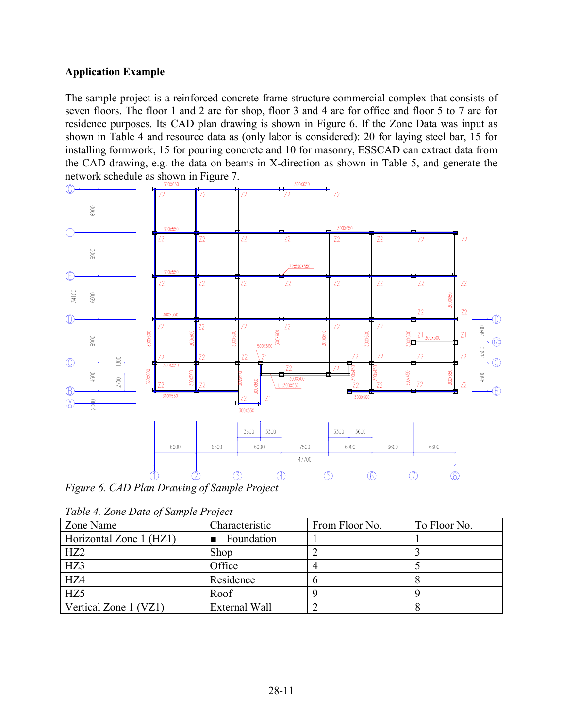## **Application Example**

The sample project is a reinforced concrete frame structure commercial complex that consists of seven floors. The floor 1 and 2 are for shop, floor 3 and 4 are for office and floor 5 to 7 are for residence purposes. Its CAD plan drawing is shown in Figure 6. If the Zone Data was input as shown in Table 4 and resource data as (only labor is considered): 20 for laying steel bar, 15 for installing formwork, 15 for pouring concrete and 10 for masonry, ESSCAD can extract data from the CAD drawing, e.g. the data on beams in X-direction as shown in Table 5, and generate the network schedule as shown in Figure 7.



*Figure 6. CAD Plan Drawing of Sample Project* 

| Zone Name               | Characteristic | From Floor No. | To Floor No. |
|-------------------------|----------------|----------------|--------------|
| Horizontal Zone 1 (HZ1) | Foundation     |                |              |
| HZ2                     | Shop           |                |              |
| HZ3                     | Office         |                |              |
| HZ4                     | Residence      |                |              |
| HZ5                     | Roof           |                |              |
| Vertical Zone 1 (VZ1)   | External Wall  |                |              |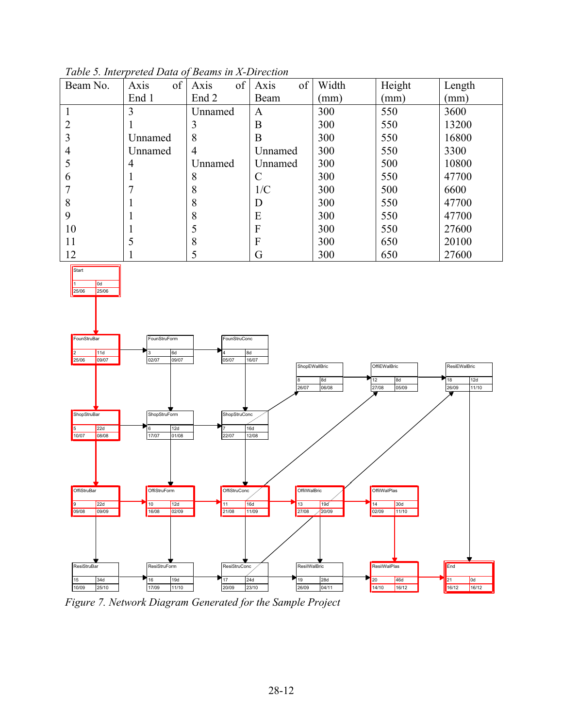

*Table 5. Interpreted Data of Beams in X-Direction*

*Figure 7. Network Diagram Generated for the Sample Project*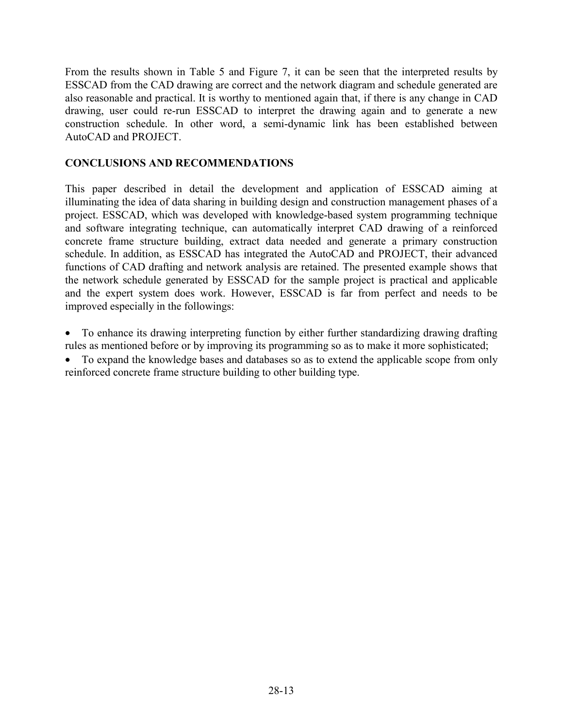From the results shown in Table 5 and Figure 7, it can be seen that the interpreted results by ESSCAD from the CAD drawing are correct and the network diagram and schedule generated are also reasonable and practical. It is worthy to mentioned again that, if there is any change in CAD drawing, user could re-run ESSCAD to interpret the drawing again and to generate a new construction schedule. In other word, a semi-dynamic link has been established between AutoCAD and PROJECT.

## **CONCLUSIONS AND RECOMMENDATIONS**

This paper described in detail the development and application of ESSCAD aiming at illuminating the idea of data sharing in building design and construction management phases of a project. ESSCAD, which was developed with knowledge-based system programming technique and software integrating technique, can automatically interpret CAD drawing of a reinforced concrete frame structure building, extract data needed and generate a primary construction schedule. In addition, as ESSCAD has integrated the AutoCAD and PROJECT, their advanced functions of CAD drafting and network analysis are retained. The presented example shows that the network schedule generated by ESSCAD for the sample project is practical and applicable and the expert system does work. However, ESSCAD is far from perfect and needs to be improved especially in the followings:

• To enhance its drawing interpreting function by either further standardizing drawing drafting rules as mentioned before or by improving its programming so as to make it more sophisticated;

• To expand the knowledge bases and databases so as to extend the applicable scope from only reinforced concrete frame structure building to other building type.